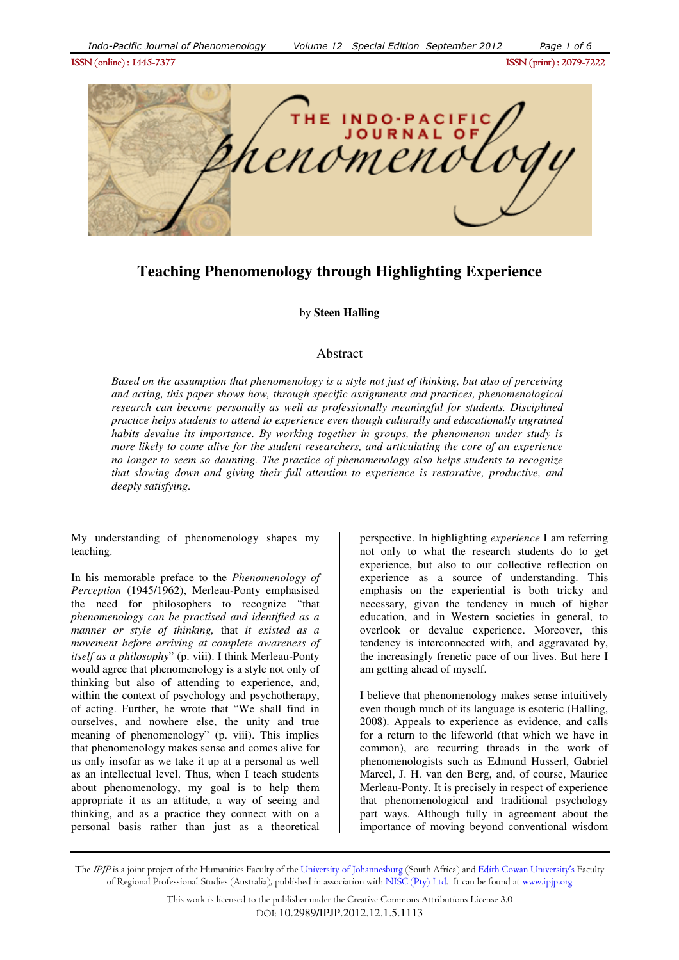ISSN (online) : 1445- ISSN (online) : 1445-7377ISSN (print) : 2079- ISSN 2079-7222



# **Teaching Phenomenology through Highlighting Experience**

by **Steen Halling** 

# Abstract

*Based on the assumption that phenomenology is a style not just of thinking, but also of perceiving and acting, this paper shows how, through specific assignments and practices, phenomenological*  research can become personally as well as professionally meaningful for students. Disciplined *practice helps students to attend to experience even though culturally and educationally ingrained habits devalue its importance. By working together in groups, the phenomenon under study is more likely to come alive for the student researchers, and articulating the core of an experience no longer to seem so daunting. The practice of phenomenology also helps students to recognize that slowing down and giving their full attention to experience is restorative, productive, and deeply satisfying.* 

My understanding of phenomenology shapes my teaching.

In his memorable preface to the *Phenomenology of Perception* (1945/1962), Merleau-Ponty emphasised the need for philosophers to recognize "that *phenomenology can be practised and identified as a manner or style of thinking,* that *it existed as a movement before arriving at complete awareness of itself as a philosophy*" (p. viii). I think Merleau-Ponty would agree that phenomenology is a style not only of thinking but also of attending to experience, and, within the context of psychology and psychotherapy, of acting. Further, he wrote that "We shall find in ourselves, and nowhere else, the unity and true meaning of phenomenology" (p. viii). This implies that phenomenology makes sense and comes alive for us only insofar as we take it up at a personal as well as an intellectual level. Thus, when I teach students about phenomenology, my goal is to help them appropriate it as an attitude, a way of seeing and thinking, and as a practice they connect with on a personal basis rather than just as a theoretical

perspective. In highlighting *experience* I am referring not only to what the research students do to get experience, but also to our collective reflection on experience as a source of understanding. This emphasis on the experiential is both tricky and necessary, given the tendency in much of higher education, and in Western societies in general, to overlook or devalue experience. Moreover, this tendency is interconnected with, and aggravated by, the increasingly frenetic pace of our lives. But here I am getting ahead of myself.

I believe that phenomenology makes sense intuitively even though much of its language is esoteric (Halling, 2008). Appeals to experience as evidence, and calls for a return to the lifeworld (that which we have in common), are recurring threads in the work of phenomenologists such as Edmund Husserl, Gabriel Marcel, J. H. van den Berg, and, of course, Maurice Merleau-Ponty. It is precisely in respect of experience that phenomenological and traditional psychology part ways. Although fully in agreement about the importance of moving beyond conventional wisdom

The IPJP is a joint project of the Humanities Faculty of the University of Johannesburg (South Africa) and Edith Cowan University's Faculty of Regional Professional Studies (Australia), published in association with NISC (Pty) Ltd. It can be found at www.ipjp.org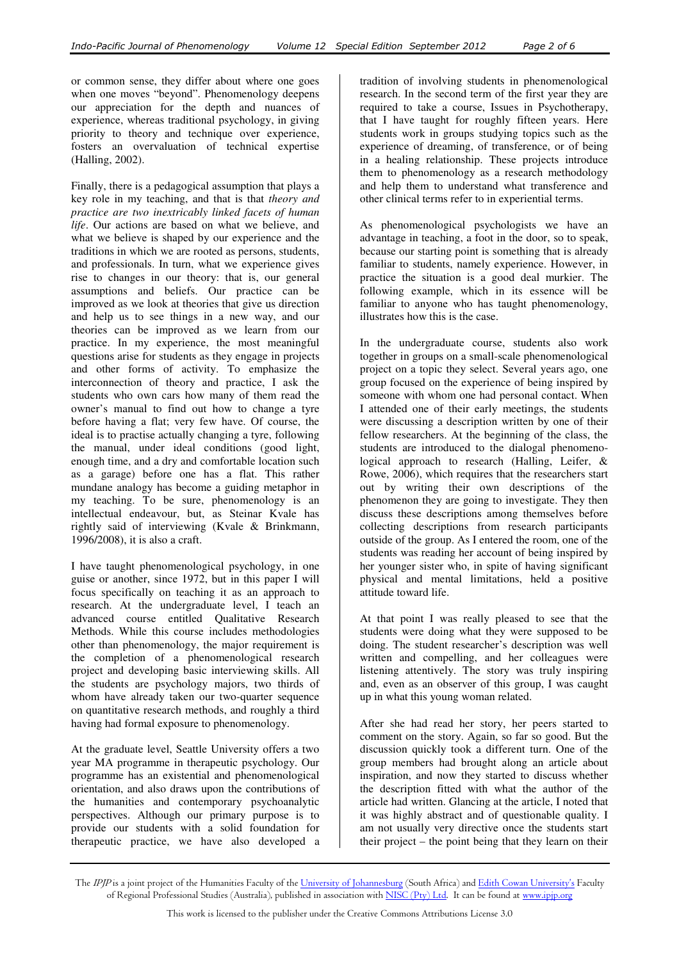or common sense, they differ about where one goes when one moves "beyond". Phenomenology deepens our appreciation for the depth and nuances of experience, whereas traditional psychology, in giving priority to theory and technique over experience, fosters an overvaluation of technical expertise (Halling, 2002).

Finally, there is a pedagogical assumption that plays a key role in my teaching, and that is that *theory and practice are two inextricably linked facets of human life*. Our actions are based on what we believe, and what we believe is shaped by our experience and the traditions in which we are rooted as persons, students, and professionals. In turn, what we experience gives rise to changes in our theory: that is, our general assumptions and beliefs. Our practice can be improved as we look at theories that give us direction and help us to see things in a new way, and our theories can be improved as we learn from our practice. In my experience, the most meaningful questions arise for students as they engage in projects and other forms of activity. To emphasize the interconnection of theory and practice, I ask the students who own cars how many of them read the owner's manual to find out how to change a tyre before having a flat; very few have. Of course, the ideal is to practise actually changing a tyre, following the manual, under ideal conditions (good light, enough time, and a dry and comfortable location such as a garage) before one has a flat. This rather mundane analogy has become a guiding metaphor in my teaching. To be sure, phenomenology is an intellectual endeavour, but, as Steinar Kvale has rightly said of interviewing (Kvale & Brinkmann, 1996/2008), it is also a craft.

I have taught phenomenological psychology, in one guise or another, since 1972, but in this paper I will focus specifically on teaching it as an approach to research. At the undergraduate level, I teach an advanced course entitled Qualitative Research Methods. While this course includes methodologies other than phenomenology, the major requirement is the completion of a phenomenological research project and developing basic interviewing skills. All the students are psychology majors, two thirds of whom have already taken our two-quarter sequence on quantitative research methods, and roughly a third having had formal exposure to phenomenology.

At the graduate level, Seattle University offers a two year MA programme in therapeutic psychology. Our programme has an existential and phenomenological orientation, and also draws upon the contributions of the humanities and contemporary psychoanalytic perspectives. Although our primary purpose is to provide our students with a solid foundation for therapeutic practice, we have also developed a tradition of involving students in phenomenological research. In the second term of the first year they are required to take a course, Issues in Psychotherapy, that I have taught for roughly fifteen years. Here students work in groups studying topics such as the experience of dreaming, of transference, or of being in a healing relationship. These projects introduce them to phenomenology as a research methodology and help them to understand what transference and other clinical terms refer to in experiential terms.

As phenomenological psychologists we have an advantage in teaching, a foot in the door, so to speak, because our starting point is something that is already familiar to students, namely experience. However, in practice the situation is a good deal murkier. The following example, which in its essence will be familiar to anyone who has taught phenomenology, illustrates how this is the case.

In the undergraduate course, students also work together in groups on a small-scale phenomenological project on a topic they select. Several years ago, one group focused on the experience of being inspired by someone with whom one had personal contact. When I attended one of their early meetings, the students were discussing a description written by one of their fellow researchers. At the beginning of the class, the students are introduced to the dialogal phenomenological approach to research (Halling, Leifer, & Rowe, 2006), which requires that the researchers start out by writing their own descriptions of the phenomenon they are going to investigate. They then discuss these descriptions among themselves before collecting descriptions from research participants outside of the group. As I entered the room, one of the students was reading her account of being inspired by her younger sister who, in spite of having significant physical and mental limitations, held a positive attitude toward life.

At that point I was really pleased to see that the students were doing what they were supposed to be doing. The student researcher's description was well written and compelling, and her colleagues were listening attentively. The story was truly inspiring and, even as an observer of this group, I was caught up in what this young woman related.

After she had read her story, her peers started to comment on the story. Again, so far so good. But the discussion quickly took a different turn. One of the group members had brought along an article about inspiration, and now they started to discuss whether the description fitted with what the author of the article had written. Glancing at the article, I noted that it was highly abstract and of questionable quality. I am not usually very directive once the students start their project – the point being that they learn on their

The IPJP is a joint project of the Humanities Faculty of the University of Johannesburg (South Africa) and Edith Cowan University's Faculty of Regional Professional Studies (Australia), published in association with NISC (Pty) Ltd. It can be found at www.ipjp.org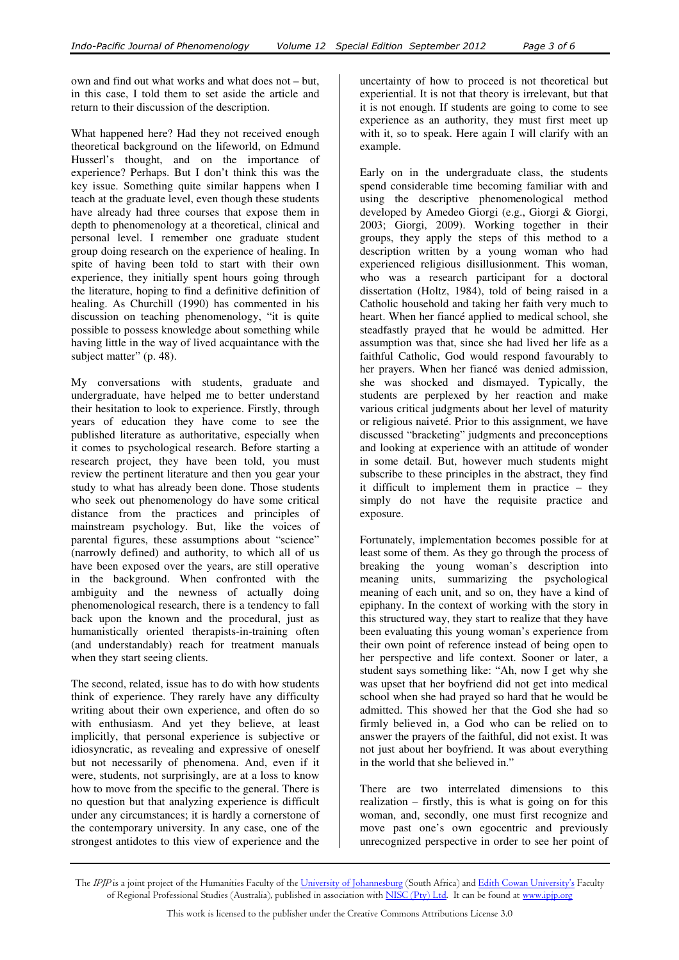own and find out what works and what does not – but, in this case, I told them to set aside the article and return to their discussion of the description.

What happened here? Had they not received enough theoretical background on the lifeworld, on Edmund Husserl's thought, and on the importance of experience? Perhaps. But I don't think this was the key issue. Something quite similar happens when I teach at the graduate level, even though these students have already had three courses that expose them in depth to phenomenology at a theoretical, clinical and personal level. I remember one graduate student group doing research on the experience of healing. In spite of having been told to start with their own experience, they initially spent hours going through the literature, hoping to find a definitive definition of healing. As Churchill (1990) has commented in his discussion on teaching phenomenology, "it is quite possible to possess knowledge about something while having little in the way of lived acquaintance with the subject matter" (p. 48).

My conversations with students, graduate and undergraduate, have helped me to better understand their hesitation to look to experience. Firstly, through years of education they have come to see the published literature as authoritative, especially when it comes to psychological research. Before starting a research project, they have been told, you must review the pertinent literature and then you gear your study to what has already been done. Those students who seek out phenomenology do have some critical distance from the practices and principles of mainstream psychology. But, like the voices of parental figures, these assumptions about "science" (narrowly defined) and authority, to which all of us have been exposed over the years, are still operative in the background. When confronted with the ambiguity and the newness of actually doing phenomenological research, there is a tendency to fall back upon the known and the procedural, just as humanistically oriented therapists-in-training often (and understandably) reach for treatment manuals when they start seeing clients.

The second, related, issue has to do with how students think of experience. They rarely have any difficulty writing about their own experience, and often do so with enthusiasm. And yet they believe, at least implicitly, that personal experience is subjective or idiosyncratic, as revealing and expressive of oneself but not necessarily of phenomena. And, even if it were, students, not surprisingly, are at a loss to know how to move from the specific to the general. There is no question but that analyzing experience is difficult under any circumstances; it is hardly a cornerstone of the contemporary university. In any case, one of the strongest antidotes to this view of experience and the

uncertainty of how to proceed is not theoretical but experiential. It is not that theory is irrelevant, but that it is not enough. If students are going to come to see experience as an authority, they must first meet up with it, so to speak. Here again I will clarify with an example.

Early on in the undergraduate class, the students spend considerable time becoming familiar with and using the descriptive phenomenological method developed by Amedeo Giorgi (e.g., Giorgi & Giorgi, 2003; Giorgi, 2009). Working together in their groups, they apply the steps of this method to a description written by a young woman who had experienced religious disillusionment. This woman, who was a research participant for a doctoral dissertation (Holtz, 1984), told of being raised in a Catholic household and taking her faith very much to heart. When her fiancé applied to medical school, she steadfastly prayed that he would be admitted. Her assumption was that, since she had lived her life as a faithful Catholic, God would respond favourably to her prayers. When her fiancé was denied admission, she was shocked and dismayed. Typically, the students are perplexed by her reaction and make various critical judgments about her level of maturity or religious naiveté. Prior to this assignment, we have discussed "bracketing" judgments and preconceptions and looking at experience with an attitude of wonder in some detail. But, however much students might subscribe to these principles in the abstract, they find it difficult to implement them in practice – they simply do not have the requisite practice and exposure.

Fortunately, implementation becomes possible for at least some of them. As they go through the process of breaking the young woman's description into meaning units, summarizing the psychological meaning of each unit, and so on, they have a kind of epiphany. In the context of working with the story in this structured way, they start to realize that they have been evaluating this young woman's experience from their own point of reference instead of being open to her perspective and life context. Sooner or later, a student says something like: "Ah, now I get why she was upset that her boyfriend did not get into medical school when she had prayed so hard that he would be admitted. This showed her that the God she had so firmly believed in, a God who can be relied on to answer the prayers of the faithful, did not exist. It was not just about her boyfriend. It was about everything in the world that she believed in."

There are two interrelated dimensions to this realization – firstly, this is what is going on for this woman, and, secondly, one must first recognize and move past one's own egocentric and previously unrecognized perspective in order to see her point of

The *IPJP* is a joint project of the Humanities Faculty of the <u>University of Johannesburg</u> (South Africa) and <u>Edith Cowan University's</u> Faculty of Regional Professional Studies (Australia), published in association with <u>NISC (Pty) Ltd</u>. It can be found at <u>www.ipjp.org</u>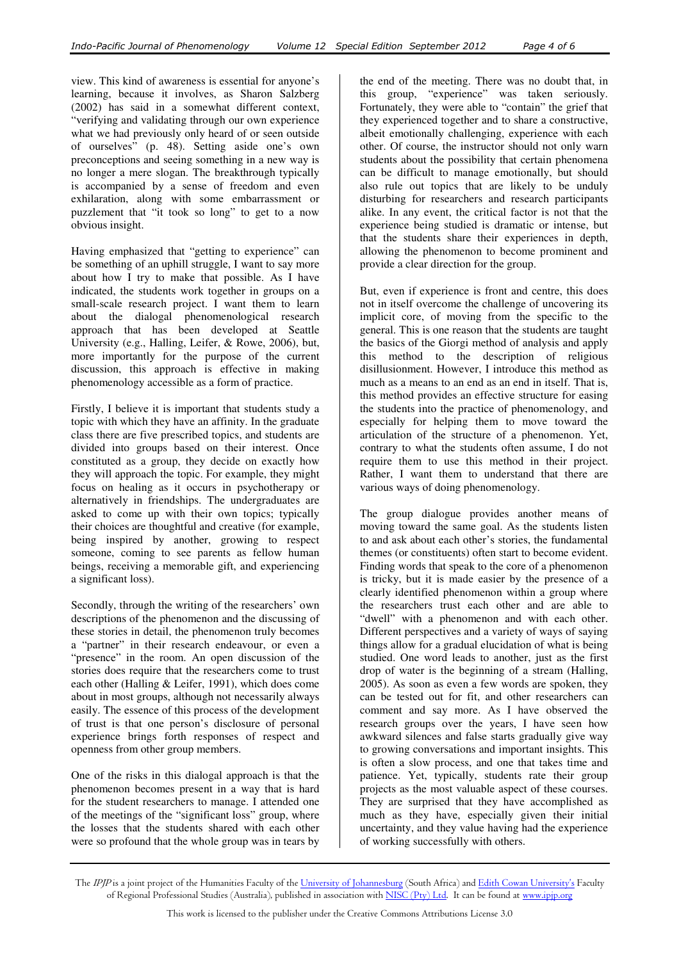view. This kind of awareness is essential for anyone's learning, because it involves, as Sharon Salzberg (2002) has said in a somewhat different context, "verifying and validating through our own experience what we had previously only heard of or seen outside of ourselves" (p. 48). Setting aside one's own preconceptions and seeing something in a new way is no longer a mere slogan. The breakthrough typically is accompanied by a sense of freedom and even exhilaration, along with some embarrassment or puzzlement that "it took so long" to get to a now obvious insight.

Having emphasized that "getting to experience" can be something of an uphill struggle, I want to say more about how I try to make that possible. As I have indicated, the students work together in groups on a small-scale research project. I want them to learn about the dialogal phenomenological research approach that has been developed at Seattle University (e.g., Halling, Leifer, & Rowe, 2006), but, more importantly for the purpose of the current discussion, this approach is effective in making phenomenology accessible as a form of practice.

Firstly, I believe it is important that students study a topic with which they have an affinity. In the graduate class there are five prescribed topics, and students are divided into groups based on their interest. Once constituted as a group, they decide on exactly how they will approach the topic. For example, they might focus on healing as it occurs in psychotherapy or alternatively in friendships. The undergraduates are asked to come up with their own topics; typically their choices are thoughtful and creative (for example, being inspired by another, growing to respect someone, coming to see parents as fellow human beings, receiving a memorable gift, and experiencing a significant loss).

Secondly, through the writing of the researchers' own descriptions of the phenomenon and the discussing of these stories in detail, the phenomenon truly becomes a "partner" in their research endeavour, or even a "presence" in the room. An open discussion of the stories does require that the researchers come to trust each other (Halling & Leifer, 1991), which does come about in most groups, although not necessarily always easily. The essence of this process of the development of trust is that one person's disclosure of personal experience brings forth responses of respect and openness from other group members.

One of the risks in this dialogal approach is that the phenomenon becomes present in a way that is hard for the student researchers to manage. I attended one of the meetings of the "significant loss" group, where the losses that the students shared with each other were so profound that the whole group was in tears by

the end of the meeting. There was no doubt that, in this group, "experience" was taken seriously. Fortunately, they were able to "contain" the grief that they experienced together and to share a constructive, albeit emotionally challenging, experience with each other. Of course, the instructor should not only warn students about the possibility that certain phenomena can be difficult to manage emotionally, but should also rule out topics that are likely to be unduly disturbing for researchers and research participants alike. In any event, the critical factor is not that the experience being studied is dramatic or intense, but that the students share their experiences in depth, allowing the phenomenon to become prominent and provide a clear direction for the group.

But, even if experience is front and centre, this does not in itself overcome the challenge of uncovering its implicit core, of moving from the specific to the general. This is one reason that the students are taught the basics of the Giorgi method of analysis and apply this method to the description of religious disillusionment. However, I introduce this method as much as a means to an end as an end in itself. That is, this method provides an effective structure for easing the students into the practice of phenomenology, and especially for helping them to move toward the articulation of the structure of a phenomenon. Yet, contrary to what the students often assume, I do not require them to use this method in their project. Rather, I want them to understand that there are various ways of doing phenomenology.

The group dialogue provides another means of moving toward the same goal. As the students listen to and ask about each other's stories, the fundamental themes (or constituents) often start to become evident. Finding words that speak to the core of a phenomenon is tricky, but it is made easier by the presence of a clearly identified phenomenon within a group where the researchers trust each other and are able to "dwell" with a phenomenon and with each other. Different perspectives and a variety of ways of saying things allow for a gradual elucidation of what is being studied. One word leads to another, just as the first drop of water is the beginning of a stream (Halling, 2005). As soon as even a few words are spoken, they can be tested out for fit, and other researchers can comment and say more. As I have observed the research groups over the years, I have seen how awkward silences and false starts gradually give way to growing conversations and important insights. This is often a slow process, and one that takes time and patience. Yet, typically, students rate their group projects as the most valuable aspect of these courses. They are surprised that they have accomplished as much as they have, especially given their initial uncertainty, and they value having had the experience of working successfully with others.

The IPJP is a joint project of the Humanities Faculty of the University of Johannesburg (South Africa) and Edith Cowan University's Faculty of Regional Professional Studies (Australia), published in association with NISC (Pty) Ltd. It can be found at www.ipjp.org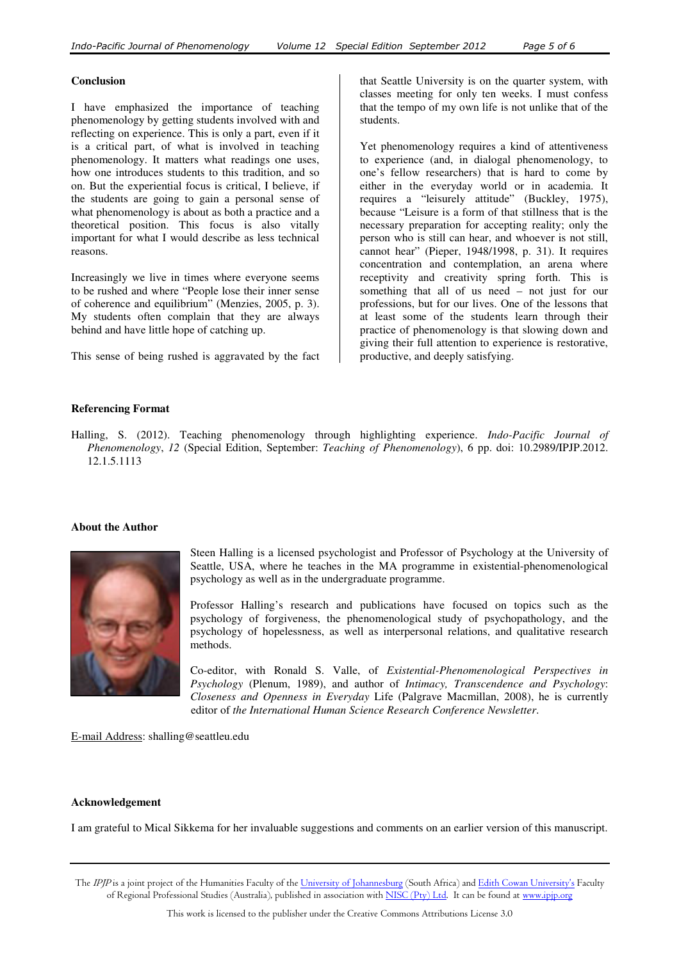## **Conclusion**

I have emphasized the importance of teaching phenomenology by getting students involved with and reflecting on experience. This is only a part, even if it is a critical part, of what is involved in teaching phenomenology. It matters what readings one uses, how one introduces students to this tradition, and so on. But the experiential focus is critical, I believe, if the students are going to gain a personal sense of what phenomenology is about as both a practice and a theoretical position. This focus is also vitally important for what I would describe as less technical reasons.

Increasingly we live in times where everyone seems to be rushed and where "People lose their inner sense of coherence and equilibrium" (Menzies, 2005, p. 3). My students often complain that they are always behind and have little hope of catching up.

This sense of being rushed is aggravated by the fact

that Seattle University is on the quarter system, with classes meeting for only ten weeks. I must confess that the tempo of my own life is not unlike that of the students.

Yet phenomenology requires a kind of attentiveness to experience (and, in dialogal phenomenology, to one's fellow researchers) that is hard to come by either in the everyday world or in academia. It requires a "leisurely attitude" (Buckley, 1975), because "Leisure is a form of that stillness that is the necessary preparation for accepting reality; only the person who is still can hear, and whoever is not still, cannot hear" (Pieper, 1948/1998, p. 31). It requires concentration and contemplation, an arena where receptivity and creativity spring forth. This is something that all of us need – not just for our professions, but for our lives. One of the lessons that at least some of the students learn through their practice of phenomenology is that slowing down and giving their full attention to experience is restorative, productive, and deeply satisfying.

## **Referencing Format**

Halling, S. (2012). Teaching phenomenology through highlighting experience. *Indo-Pacific Journal of Phenomenology*, *12* (Special Edition, September: *Teaching of Phenomenology*), 6 pp. doi: 10.2989/IPJP.2012. 12.1.5.1113

#### **About the Author**



Steen Halling is a licensed psychologist and Professor of Psychology at the University of Seattle, USA, where he teaches in the MA programme in existential-phenomenological psychology as well as in the undergraduate programme.

Professor Halling's research and publications have focused on topics such as the psychology of forgiveness, the phenomenological study of psychopathology, and the psychology of hopelessness, as well as interpersonal relations, and qualitative research methods.

Co-editor, with Ronald S. Valle, of *Existential-Phenomenological Perspectives in Psychology* (Plenum, 1989), and author of *Intimacy, Transcendence and Psychology*: *Closeness and Openness in Everyday* Life (Palgrave Macmillan, 2008), he is currently editor of *the International Human Science Research Conference Newsletter*.

E-mail Address: shalling@seattleu.edu

#### **Acknowledgement**

I am grateful to Mical Sikkema for her invaluable suggestions and comments on an earlier version of this manuscript.

The IPJP is a joint project of the Humanities Faculty of the University of Johannesburg (South Africa) and Edith Cowan University's Faculty of Regional Professional Studies (Australia), published in association with NISC (Pty) Ltd. It can be found at www.ipjp.org